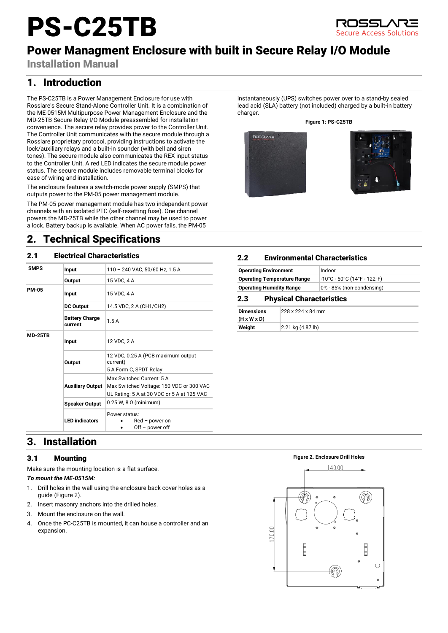# PS-C25TB



# Power Managment Enclosure with built in Secure Relay I/O Module

Installation Manual

# 1. Introduction

The PS-C25TB is a Power Management Enclosure for use with Rosslare's Secure Stand-Alone Controller Unit. It is a combination of the ME-0515M Multipurpose Power Management Enclosure and the MD-25TB Secure Relay I/O Module preassembled for installation convenience. The secure relay provides power to the Controller Unit. The Controller Unit communicates with the secure module through a Rosslare proprietary protocol, providing instructions to activate the lock/auxiliary relays and a built-in sounder (with bell and siren tones). The secure module also communicates the REX input status to the Controller Unit. A red LED indicates the secure module power status. The secure module includes removable terminal blocks for ease of wiring and installation.

The enclosure features a switch-mode power supply (SMPS) that outputs power to the PM-05 power management module.

The PM-05 power management module has two independent power channels with an isolated PTC (self-resetting fuse). One channel powers the MD-25TB while the other channel may be used to power a lock. Battery backup is available. When AC power fails, the PM-05

## 2. Technical Specifications

## 2.1 Electrical Characteristics

| <b>SMPS</b>    | Input                            | 110 - 240 VAC, 50/60 Hz, 1.5 A                                                                                      |
|----------------|----------------------------------|---------------------------------------------------------------------------------------------------------------------|
|                | Output                           | 15 VDC, 4 A                                                                                                         |
| <b>PM-05</b>   | Input                            | 15 VDC, 4 A                                                                                                         |
|                | <b>DC Output</b>                 | 14.5 VDC, 2 A (CH1/CH2)                                                                                             |
|                | <b>Battery Charge</b><br>current | 1.5A                                                                                                                |
| <b>MD-25TB</b> | Input                            | 12 VDC, 2 A                                                                                                         |
|                | Output                           | 12 VDC, 0.25 A (PCB maximum output<br>current)                                                                      |
|                |                                  | 5 A Form C, SPDT Relay                                                                                              |
|                | <b>Auxiliary Output</b>          | Max Switched Current: 5 A<br>Max Switched Voltage: 150 VDC or 300 VAC<br>UL Rating: 5 A at 30 VDC or 5 A at 125 VAC |
|                | <b>Speaker Output</b>            | $0.25$ W, 8 $\Omega$ (minimum)                                                                                      |
|                | <b>LED</b> indicators            | Power status:<br>$Red$ – power on<br>$Off - power of f$                                                             |

instantaneously (UPS) switches power over to a stand-by sealed lead acid (SLA) battery (not included) charged by a built-in battery charger.

#### **Figure 1: PS-C25TB**





## 2.2 Environmental Characteristics

| <b>Operating Environment</b>           | Indoor                      |  |
|----------------------------------------|-----------------------------|--|
| <b>Operating Temperature Range</b>     | -10°C - 50°C (14°F - 122°F) |  |
| <b>Operating Humidity Range</b>        | 0% - 85% (non-condensing)   |  |
| <b>Physical Characteristics</b><br>2.3 |                             |  |

| <b>Dimensions</b>       | 228 x 224 x 84 mm                    |  |
|-------------------------|--------------------------------------|--|
| $(H \times W \times D)$ |                                      |  |
| Weight                  | $ 2.21 \text{ kg} (4.87 \text{ lb})$ |  |

# 3. Installation

## 3.1 Mounting

Make sure the mounting location is a flat surface.

#### *To mount the ME-0515M:*

- 1. Drill holes in the wall using the enclosure back cover holes as a guide [\(Figure 2\)](#page-0-0).
- 2. Insert masonry anchors into the drilled holes.
- 3. Mount the enclosure on the wall.
- 4. Once the PC-C25TB is mounted, it can house a controller and an expansion.

#### **Figure 2. Enclosure Drill Holes**

<span id="page-0-0"></span>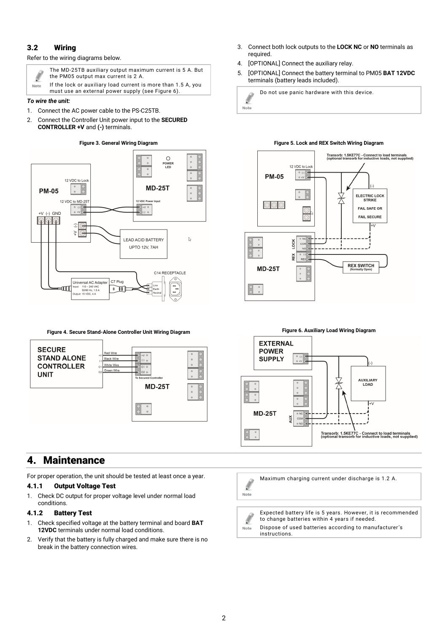### 3.2 Wiring

#### Refer to the wiring diagrams below.



The MD-25TB auxiliary output maximum current is 5 A. But the PM05 output max current is 2 A.

If the lock or auxiliary load current is more than 1.5 A, you must use an external power supply (see [Figure 6\)](#page-1-0).

#### *To wire the unit:*

- 1. Connect the AC power cable to the PS-C25TB.
- 2. Connect the Controller Unit power input to the **SECURED CONTROLLER +V** and **(-)** terminals.

#### **Figure 3. General Wiring Diagram**



**Figure 4. Secure Stand-Alone Controller Unit Wiring Diagram**



## 4. Maintenance

For proper operation, the unit should be tested at least once a year.

#### 4.1.1 Output Voltage Test

1. Check DC output for proper voltage level under normal load conditions.

## 4.1.2 Battery Test

- 1. Check specified voltage at the battery terminal and board **BAT 12VDC** terminals under normal load conditions.
- 2. Verify that the battery is fully charged and make sure there is no break in the battery connection wires.
- 3. Connect both lock outputs to the **LOCK NC** or **NO** terminals as required.
- 4. [OPTIONAL] Connect the auxiliary relay.
- 5. [OPTIONAL] Connect the battery terminal to PM05 **BAT 12VDC** terminals (battery leads included).

Do not use panic hardware with this device. Ø Note

#### **Figure 5. Lock and REX Switch Wiring Diagram**



<span id="page-1-0"></span>

Maximum charging current under discharge is 1.2 A.  $\ell$ Note

Expected battery life is 5 years. However, it is recommended  $\ell$ to change batteries within 4 years if needed. Dispose of used batteries according to manufacturer's instructions.

Note